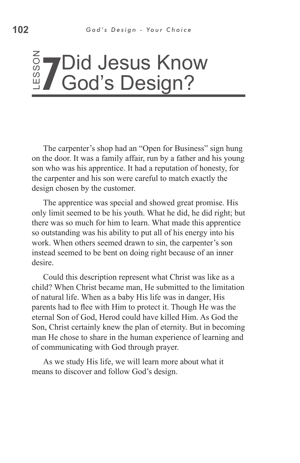#### ss o Z **7** Did Jesus Know God's Design?

The carpenter's shop had an "Open for Business" sign hung on the door. It was a family affair, run by a father and his young son who was his apprentice. It had a reputation of honesty, for the carpenter and his son were careful to match exactly the design chosen by the customer.

The apprentice was special and showed great promise. His only limit seemed to be his youth. What he did, he did right; but there was so much for him to learn. What made this apprentice so outstanding was his ability to put all of his energy into his work. When others seemed drawn to sin, the carpenter's son instead seemed to be bent on doing right because of an inner desire.

Could this description represent what Christ was like as a child? When Christ became man, He submitted to the limitation of natural life. When as a baby His life was in danger, His parents had to flee with Him to protect it. Though He was the eternal Son of God, Herod could have killed Him. As God the Son, Christ certainly knew the plan of eternity. But in becoming man He chose to share in the human experience of learning and of communicating with God through prayer. The carpenter's shop had an "Open for E<br>on the door. It was a family affair, run by a s<br>son who was his apprentice. It had a reputat<br>the carpenter and his son were careful to ma<br>design chosen by the customer.<br>The apprentic

As we study His life, we will learn more about what it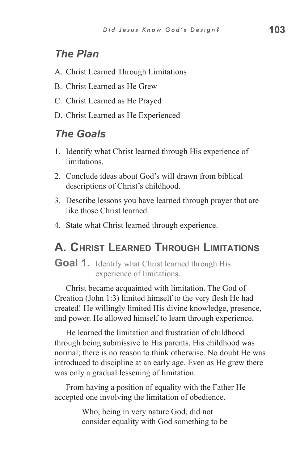## *The Plan*

- A. Christ Learned Through Limitations
- B. Christ Learned as He Grew
- C. Christ Learned as He Prayed
- D. Christ Learned as He Experienced

### *The Goals*

- 1. Identify what Christ learned through His experience of limitations.
- 2. Conclude ideas about God's will drawn from biblical descriptions of Christ's childhood.
- 3. Describe lessons you have learned through prayer that are like those Christ learned.
- 4. State what Christ learned through experience.

# **A. Christ Learned Through Limitations**

**Goal 1.** Identify what Christ learned through His experience of limitations.

Christ became acquainted with limitation. The God of Creation (John 1:3) limited himself to the very flesh He had created! He willingly limited His divine knowledge, presence, and power. He allowed himself to learn through experience.

He learned the limitation and frustration of childhood through being submissive to His parents. His childhood was normal; there is no reason to think otherwise. No doubt He was introduced to discipline at an early age. Even as He grew there was only a gradual lessening of limitation.

From having a position of equality with the Father He accepted one involving the limitation of obedience.

> Who, being in very nature God, did not consider equality with God something to be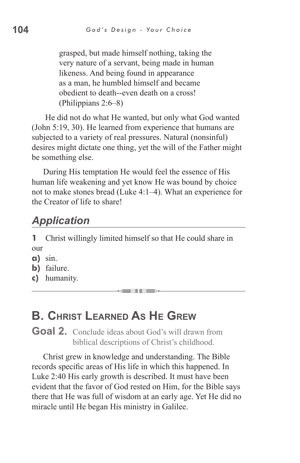grasped, but made himself nothing, taking the very nature of a servant, being made in human likeness. And being found in appearance as a man, he humbled himself and became obedient to death--even death on a cross! (Philippians 2:6–8)

 He did not do what He wanted, but only what God wanted (John 5:19, 30). He learned from experience that humans are subjected to a variety of real pressures. Natural (nonsinful) desires might dictate one thing, yet the will of the Father might be something else.

During His temptation He would feel the essence of His human life weakening and yet know He was bound by choice not to make stones bread (Luke 4:1–4). What an experience for the Creator of life to share!

# *Application*

**1** Christ willingly limited himself so that He could share in our

- **a)** sin.
- **b)** failure.
- **c)** humanity.

# **B. Christ Learned As He Grew**

Goal 2. Conclude ideas about God's will drawn from biblical descriptions of Christ's childhood.

Christ grew in knowledge and understanding. The Bible records specific areas of His life in which this happened. In Luke 2:40 His early growth is described. It must have been evident that the favor of God rested on Him, for the Bible says there that He was full of wisdom at an early age. Yet He did no miracle until He began His ministry in Galilee.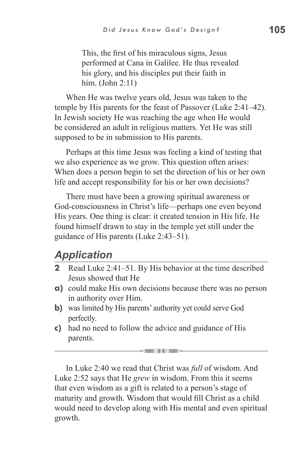This, the first of his miraculous signs, Jesus performed at Cana in Galilee. He thus revealed his glory, and his disciples put their faith in him. (John 2:11)

When He was twelve years old, Jesus was taken to the temple by His parents for the feast of Passover (Luke 2:41–42). In Jewish society He was reaching the age when He would be considered an adult in religious matters. Yet He was still supposed to be in submission to His parents.

Perhaps at this time Jesus was feeling a kind of testing that we also experience as we grow. This question often arises: When does a person begin to set the direction of his or her own life and accept responsibility for his or her own decisions?

There must have been a growing spiritual awareness or God-consciousness in Christ's life—perhaps one even beyond His years. One thing is clear: it created tension in His life. He found himself drawn to stay in the temple yet still under the guidance of His parents (Luke 2:43–51).

### *Application*

- **2** Read Luke 2:41–51. By His behavior at the time described Jesus showed that He
- **a)** could make His own decisions because there was no person in authority over Him.
- **b**) was limited by His parents' authority yet could serve God perfectly.
- **c)** had no need to follow the advice and guidance of His parents.

In Luke 2:40 we read that Christ was *full* of wisdom. And Luke 2:52 says that He *grew* in wisdom. From this it seems that even wisdom as a gift is related to a person's stage of maturity and growth. Wisdom that would fill Christ as a child would need to develop along with His mental and even spiritual growth.

----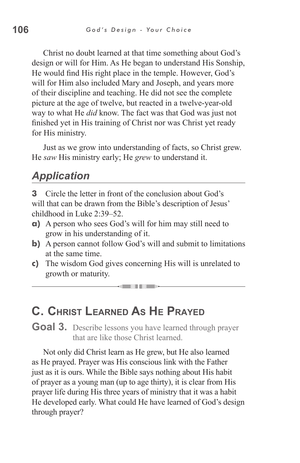Christ no doubt learned at that time something about God's design or will for Him. As He began to understand His Sonship, He would find His right place in the temple. However, God's will for Him also included Mary and Joseph, and years more of their discipline and teaching. He did not see the complete picture at the age of twelve, but reacted in a twelve-year-old way to what He *did* know. The fact was that God was just not finished yet in His training of Christ nor was Christ yet ready for His ministry.

Just as we grow into understanding of facts, so Christ grew. He *saw* His ministry early; He *grew* to understand it.

### *Application*

**3** Circle the letter in front of the conclusion about God's will that can be drawn from the Bible's description of Jesus' childhood in Luke 2:39–52.

- **a)** A person who sees God's will for him may still need to grow in his understanding of it.
- **b)** A person cannot follow God's will and submit to limitations at the same time.
- **c)** The wisdom God gives concerning His will is unrelated to growth or maturity.

an III a

# **C. Christ Learned As He Prayed**

**Goal 3.** Describe lessons you have learned through prayer that are like those Christ learned.

Not only did Christ learn as He grew, but He also learned as He prayed. Prayer was His conscious link with the Father just as it is ours. While the Bible says nothing about His habit of prayer as a young man (up to age thirty), it is clear from His prayer life during His three years of ministry that it was a habit He developed early. What could He have learned of God's design through prayer?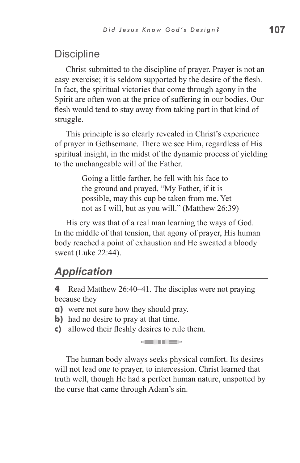# **Discipline**

Christ submitted to the discipline of prayer. Prayer is not an easy exercise; it is seldom supported by the desire of the flesh. In fact, the spiritual victories that come through agony in the Spirit are often won at the price of suffering in our bodies. Our flesh would tend to stay away from taking part in that kind of struggle.

This principle is so clearly revealed in Christ's experience of prayer in Gethsemane. There we see Him, regardless of His spiritual insight, in the midst of the dynamic process of yielding to the unchangeable will of the Father.

> Going a little farther, he fell with his face to the ground and prayed, "My Father, if it is possible, may this cup be taken from me. Yet not as I will, but as you will." (Matthew 26:39)

His cry was that of a real man learning the ways of God. In the middle of that tension, that agony of prayer, His human body reached a point of exhaustion and He sweated a bloody sweat (Luke 22:44).

# *Application*

**4** Read Matthew 26:40–41. The disciples were not praying because they

- **a)** were not sure how they should pray.
- **b**) had no desire to pray at that time.
- **c)** allowed their fleshly desires to rule them.

The human body always seeks physical comfort. Its desires will not lead one to prayer, to intercession. Christ learned that truth well, though He had a perfect human nature, unspotted by the curse that came through Adam's sin.

<u>e in die s</u>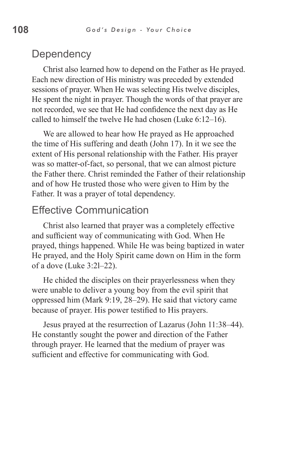#### **Dependency**

Christ also learned how to depend on the Father as He prayed. Each new direction of His ministry was preceded by extended sessions of prayer. When He was selecting His twelve disciples, He spent the night in prayer. Though the words of that prayer are not recorded, we see that He had confidence the next day as He called to himself the twelve He had chosen (Luke 6:12–16).

We are allowed to hear how He prayed as He approached the time of His suffering and death (John 17). In it we see the extent of His personal relationship with the Father. His prayer was so matter-of-fact, so personal, that we can almost picture the Father there. Christ reminded the Father of their relationship and of how He trusted those who were given to Him by the Father. It was a prayer of total dependency.

### Effective Communication

Christ also learned that prayer was a completely effective and sufficient way of communicating with God. When He prayed, things happened. While He was being baptized in water He prayed, and the Holy Spirit came down on Him in the form of a dove (Luke 3:2l–22).

He chided the disciples on their prayerlessness when they were unable to deliver a young boy from the evil spirit that oppressed him (Mark 9:19, 28–29). He said that victory came because of prayer. His power testified to His prayers.

Jesus prayed at the resurrection of Lazarus (John 11:38–44). He constantly sought the power and direction of the Father through prayer. He learned that the medium of prayer was sufficient and effective for communicating with God.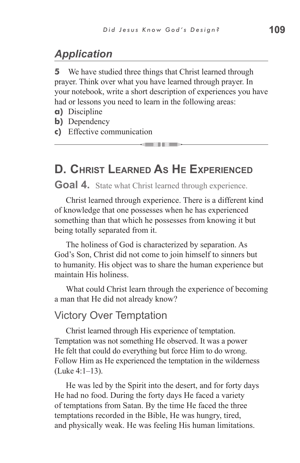# *Application*

**5** We have studied three things that Christ learned through prayer. Think over what you have learned through prayer. In your notebook, write a short description of experiences you have had or lessons you need to learn in the following areas:

- 15

- **a)** Discipline
- **b)** Dependency
- **c)** Effective communication

# **D. Christ Learned As He Experienced**

Goal 4. State what Christ learned through experience.

Christ learned through experience. There is a different kind of knowledge that one possesses when he has experienced something than that which he possesses from knowing it but being totally separated from it.

The holiness of God is characterized by separation. As God's Son, Christ did not come to join himself to sinners but to humanity. His object was to share the human experience but maintain His holiness.

What could Christ learn through the experience of becoming a man that He did not already know?

#### Victory Over Temptation

Christ learned through His experience of temptation. Temptation was not something He observed. It was a power He felt that could do everything but force Him to do wrong. Follow Him as He experienced the temptation in the wilderness (Luke 4:1–13).

He was led by the Spirit into the desert, and for forty days He had no food. During the forty days He faced a variety of temptations from Satan. By the time He faced the three temptations recorded in the Bible, He was hungry, tired, and physically weak. He was feeling His human limitations.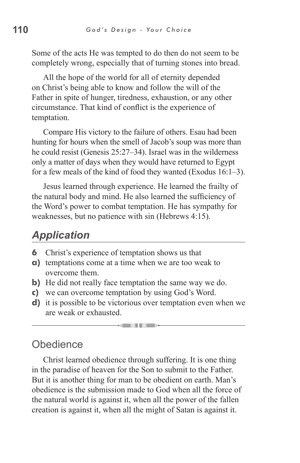Some of the acts He was tempted to do then do not seem to be completely wrong, especially that of turning stones into bread.

All the hope of the world for all of eternity depended on Christ's being able to know and follow the will of the Father in spite of hunger, tiredness, exhaustion, or any other circumstance. That kind of conflict is the experience of temptation.

Compare His victory to the failure of others. Esau had been hunting for hours when the smell of Jacob's soup was more than he could resist (Genesis 25:27–34). Israel was in the wilderness only a matter of days when they would have returned to Egypt for a few meals of the kind of food they wanted (Exodus 16:1–3).

Jesus learned through experience. He learned the frailty of the natural body and mind. He also learned the sufficiency of the Word's power to combat temptation. He has sympathy for weaknesses, but no patience with sin (Hebrews 4:15).

# *Application*

- **6** Christ's experience of temptation shows us that
- **a)** temptations come at a time when we are too weak to overcome them.
- **b)** He did not really face temptation the same way we do.
- **c)** we can overcome temptation by using God's Word.
- **d)** it is possible to be victorious over temptation even when we are weak or exhausted.

### **Obedience**

Christ learned obedience through suffering. It is one thing in the paradise of heaven for the Son to submit to the Father. But it is another thing for man to be obedient on earth. Man's obedience is the submission made to God when all the force of the natural world is against it, when all the power of the fallen creation is against it, when all the might of Satan is against it.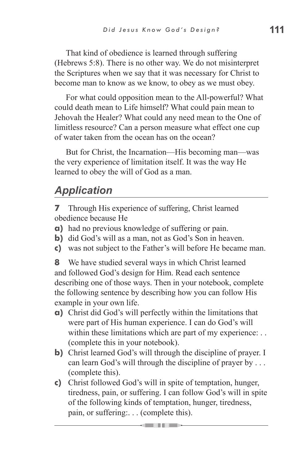That kind of obedience is learned through suffering (Hebrews 5:8). There is no other way. We do not misinterpret the Scriptures when we say that it was necessary for Christ to become man to know as we know, to obey as we must obey.

For what could opposition mean to the All-powerful? What could death mean to Life himself? What could pain mean to Jehovah the Healer? What could any need mean to the One of limitless resource? Can a person measure what effect one cup of water taken from the ocean has on the ocean?

But for Christ, the Incarnation—His becoming man—was the very experience of limitation itself. It was the way He learned to obey the will of God as a man.

# *Application*

**7** Through His experience of suffering, Christ learned obedience because He

- **a)** had no previous knowledge of suffering or pain.
- **b**) did God's will as a man, not as God's Son in heaven.
- **c)** was not subject to the Father's will before He became man.

**8** We have studied several ways in which Christ learned and followed God's design for Him. Read each sentence describing one of those ways. Then in your notebook, complete the following sentence by describing how you can follow His example in your own life.

- **a)** Christ did God's will perfectly within the limitations that were part of His human experience. I can do God's will within these limitations which are part of my experience: ... (complete this in your notebook).
- **b)** Christ learned God's will through the discipline of prayer. I can learn God's will through the discipline of prayer by . . . (complete this).
- **c)** Christ followed God's will in spite of temptation, hunger, tiredness, pain, or suffering. I can follow God's will in spite of the following kinds of temptation, hunger, tiredness, pain, or suffering:. . . (complete this).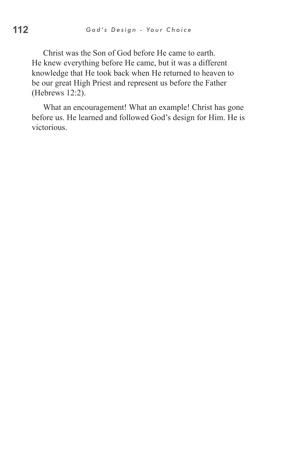Christ was the Son of God before He came to earth. He knew everything before He came, but it was a different knowledge that He took back when He returned to heaven to be our great High Priest and represent us before the Father (Hebrews 12:2).

What an encouragement! What an example! Christ has gone before us. He learned and followed God's design for Him. He is victorious.